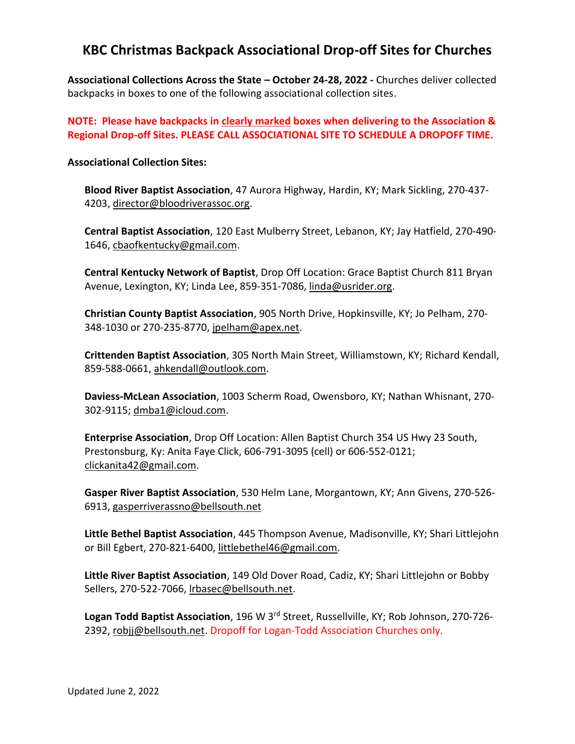## **KBC Christmas Backpack Associational Drop-off Sites for Churches**

**Associational Collections Across the State – October 24-28, 2022 -** Churches deliver collected backpacks in boxes to one of the following associational collection sites.

**NOTE: Please have backpacks in clearly marked boxes when delivering to the Association & Regional Drop-off Sites. PLEASE CALL ASSOCIATIONAL SITE TO SCHEDULE A DROPOFF TIME.** 

## **Associational Collection Sites:**

**Blood River Baptist Association**, 47 Aurora Highway, Hardin, KY; Mark Sickling, 270-437- 4203, [director@bloodriverassoc.org.](mailto:director@bloodriverassoc.org)

**Central Baptist Association**, 120 East Mulberry Street, Lebanon, KY; Jay Hatfield, 270-490- 1646, [cbaofkentucky@gmail.com.](mailto:cbaofkentucky@gmail.com)

**Central Kentucky Network of Baptist**, Drop Off Location: Grace Baptist Church 811 Bryan Avenue, Lexington, KY; Linda Lee, 859-351-7086, [linda@usrider.org.](mailto:linda@usrider.org)

**Christian County Baptist Association**, 905 North Drive, Hopkinsville, KY; Jo Pelham, 270- 348-1030 or 270-235-8770, [jpelham@apex.net.](mailto:jpelham@apex.net)

**Crittenden Baptist Association**, 305 North Main Street, Williamstown, KY; Richard Kendall, 859-588-0661, [ahkendall@outlook.com.](mailto:ahkendall@outlook.com)

**Daviess-McLean Association**, 1003 Scherm Road, Owensboro, KY; Nathan Whisnant, 270- 302-9115; [dmba1@icloud.com.](mailto:dmba1@icloud.com)

**Enterprise Association**, Drop Off Location: Allen Baptist Church 354 US Hwy 23 South, Prestonsburg, Ky: Anita Faye Click, 606-791-3095 (cell) or 606-552-0121; [clickanita42@gmail.com.](mailto:clickanita42@gmail.com)

**Gasper River Baptist Association**, 530 Helm Lane, Morgantown, KY; Ann Givens, 270-526- 6913, [gasperriverassno@bellsouth.net](mailto:gasperriverassno@bellsouth.net)

**Little Bethel Baptist Association**, 445 Thompson Avenue, Madisonville, KY; Shari Littlejohn or Bill Egbert, 270-821-6400, [littlebethel46@gmail.com.](mailto:littlebethel46@gmail.com)

**Little River Baptist Association**, 149 Old Dover Road, Cadiz, KY; Shari Littlejohn or Bobby Sellers, 270-522-7066, Irbasec@bellsouth.net.

**Logan Todd Baptist Association**, 196 W 3rd Street, Russellville, KY; Rob Johnson, 270-726 2392, [robjj@bellsouth.net.](mailto:robjj@bellsouth.net) Dropoff for Logan-Todd Association Churches only.